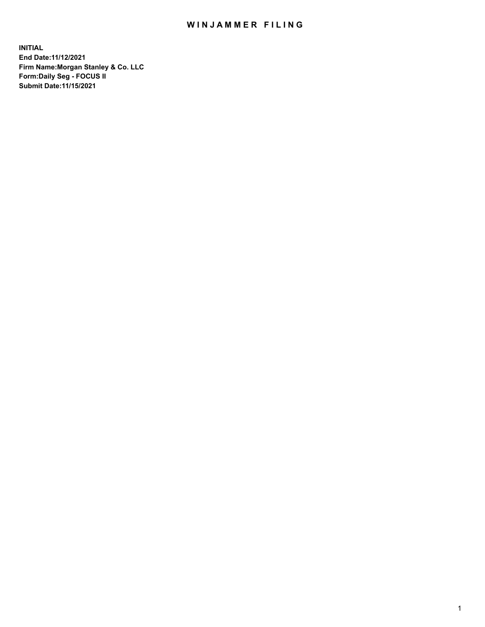## WIN JAMMER FILING

**INITIAL End Date:11/12/2021 Firm Name:Morgan Stanley & Co. LLC Form:Daily Seg - FOCUS II Submit Date:11/15/2021**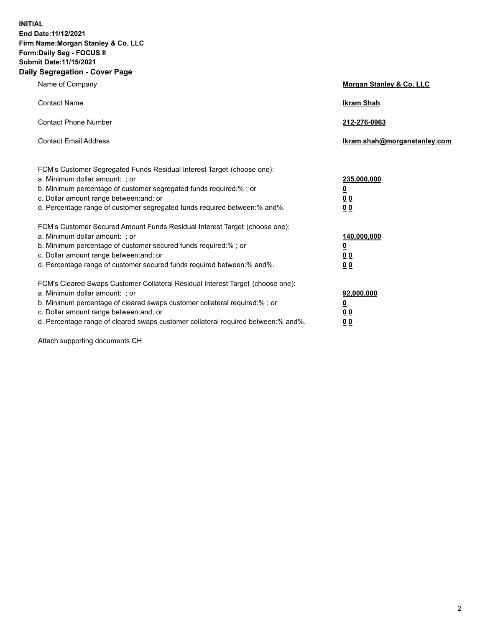**INITIAL End Date:11/12/2021 Firm Name:Morgan Stanley & Co. LLC Form:Daily Seg - FOCUS II Submit Date:11/15/2021 Daily Segregation - Cover Page**

| Name of Company                                                                                                                                                                                                                                                                                                                | Morgan Stanley & Co. LLC                                |
|--------------------------------------------------------------------------------------------------------------------------------------------------------------------------------------------------------------------------------------------------------------------------------------------------------------------------------|---------------------------------------------------------|
| <b>Contact Name</b>                                                                                                                                                                                                                                                                                                            | <b>Ikram Shah</b>                                       |
| <b>Contact Phone Number</b>                                                                                                                                                                                                                                                                                                    | 212-276-0963                                            |
| <b>Contact Email Address</b>                                                                                                                                                                                                                                                                                                   | Ikram.shah@morganstanley.com                            |
| FCM's Customer Segregated Funds Residual Interest Target (choose one):<br>a. Minimum dollar amount: ; or<br>b. Minimum percentage of customer segregated funds required:% ; or<br>c. Dollar amount range between: and; or<br>d. Percentage range of customer segregated funds required between:% and%.                         | 235,000,000<br><u>0</u><br>0 <sup>0</sup><br>00         |
| FCM's Customer Secured Amount Funds Residual Interest Target (choose one):<br>a. Minimum dollar amount: ; or<br>b. Minimum percentage of customer secured funds required:%; or<br>c. Dollar amount range between: and; or<br>d. Percentage range of customer secured funds required between:% and%.                            | 140,000,000<br><u>0</u><br><u>0 0</u><br>0 <sub>0</sub> |
| FCM's Cleared Swaps Customer Collateral Residual Interest Target (choose one):<br>a. Minimum dollar amount: ; or<br>b. Minimum percentage of cleared swaps customer collateral required:% ; or<br>c. Dollar amount range between: and; or<br>d. Percentage range of cleared swaps customer collateral required between:% and%. | 92,000,000<br><u>0</u><br><u>00</u><br>0 <sub>0</sub>   |

Attach supporting documents CH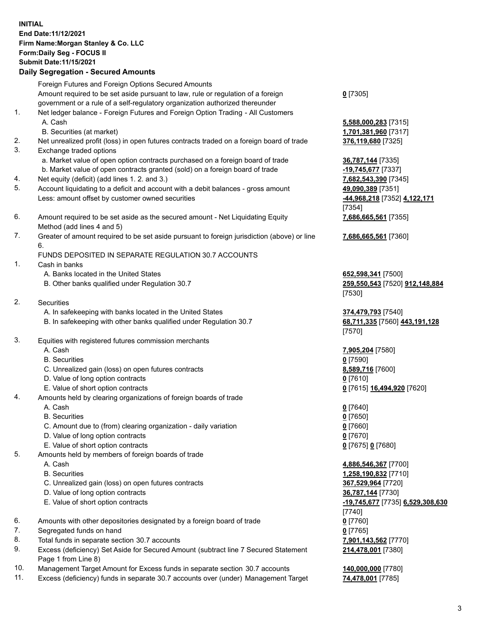## **INITIAL End Date:11/12/2021 Firm Name:Morgan Stanley & Co. LLC Form:Daily Seg - FOCUS II Submit Date:11/15/2021**

## **Daily Segregation - Secured Amounts**

Foreign Futures and Foreign Options Secured Amounts Amount required to be set aside pursuant to law, rule or regulation of a foreign government or a rule of a self-regulatory organization authorized thereunder 1. Net ledger balance - Foreign Futures and Foreign Option Trading - All Customers A. Cash **5,588,000,283** [7315] B. Securities (at market) **1,701,381,960** [7317] 2. Net unrealized profit (loss) in open futures contracts traded on a foreign board of trade **376,119,680** [7325] 3. Exchange traded options a. Market value of open option contracts purchased on a foreign board of trade **36,787,144** [7335] b. Market value of open contracts granted (sold) on a foreign board of trade **-19,745,677** [7337] 4. Net equity (deficit) (add lines 1. 2. and 3.) **7,682,543,390** [7345] 5. Account liquidating to a deficit and account with a debit balances - gross amount **49,090,389** [7351] Less: amount offset by customer owned securities **-44,968,218** [7352] **4,122,171**

- 6. Amount required to be set aside as the secured amount Net Liquidating Equity Method (add lines 4 and 5)
- 7. Greater of amount required to be set aside pursuant to foreign jurisdiction (above) or line 6.

## FUNDS DEPOSITED IN SEPARATE REGULATION 30.7 ACCOUNTS

- 1. Cash in banks
	- A. Banks located in the United States **652,598,341** [7500]
	- B. Other banks qualified under Regulation 30.7 **259,550,543** [7520] **912,148,884**
- 2. Securities
	- A. In safekeeping with banks located in the United States **374,479,793** [7540]
	- B. In safekeeping with other banks qualified under Regulation 30.7 **68,711,335** [7560] **443,191,128**
- 3. Equities with registered futures commission merchants
	-
	- B. Securities **0** [7590]
	- C. Unrealized gain (loss) on open futures contracts **8,589,716** [7600]
	- D. Value of long option contracts **0** [7610]
	- E. Value of short option contracts **0** [7615] **16,494,920** [7620]
- 4. Amounts held by clearing organizations of foreign boards of trade
	-
	- B. Securities **0** [7650]
	- C. Amount due to (from) clearing organization daily variation **0** [7660]
	- D. Value of long option contracts **0** [7670]
	- E. Value of short option contracts **0** [7675] **0** [7680]
- 5. Amounts held by members of foreign boards of trade
	-
	-
	- C. Unrealized gain (loss) on open futures contracts **367,529,964** [7720]
	- D. Value of long option contracts **36,787,144** [7730]
	-
- 6. Amounts with other depositories designated by a foreign board of trade **0** [7760]
- 7. Segregated funds on hand **0** [7765]
- 8. Total funds in separate section 30.7 accounts **7,901,143,562** [7770]
- 9. Excess (deficiency) Set Aside for Secured Amount (subtract line 7 Secured Statement Page 1 from Line 8)
- 10. Management Target Amount for Excess funds in separate section 30.7 accounts **140,000,000** [7780]
- 11. Excess (deficiency) funds in separate 30.7 accounts over (under) Management Target **74,478,001** [7785]

**0** [7305]

[7354] **7,686,665,561** [7355]

**7,686,665,561** [7360]

[7530]

[7570]

A. Cash **7,905,204** [7580]

A. Cash **0** [7640]

 A. Cash **4,886,546,367** [7700] B. Securities **1,258,190,832** [7710] E. Value of short option contracts **-19,745,677** [7735] **6,529,308,630** [7740] **214,478,001** [7380]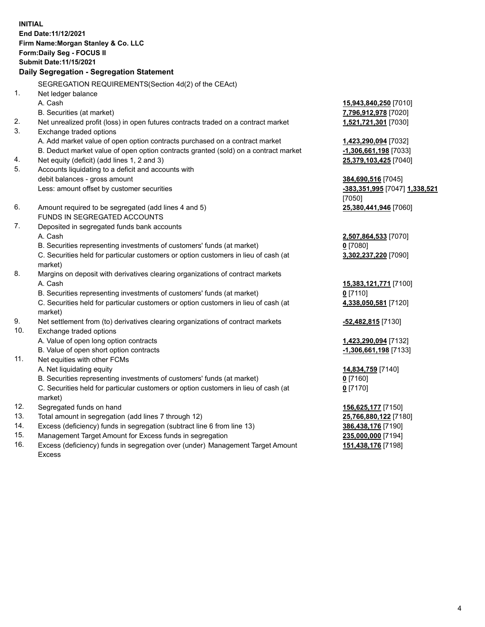**INITIAL End Date:11/12/2021 Firm Name:Morgan Stanley & Co. LLC Form:Daily Seg - FOCUS II Submit Date:11/15/2021 Daily Segregation - Segregation Statement** SEGREGATION REQUIREMENTS(Section 4d(2) of the CEAct) 1. Net ledger balance A. Cash **15,943,840,250** [7010] B. Securities (at market) **7,796,912,978** [7020] 2. Net unrealized profit (loss) in open futures contracts traded on a contract market **1,521,721,301** [7030] 3. Exchange traded options A. Add market value of open option contracts purchased on a contract market **1,423,290,094** [7032] B. Deduct market value of open option contracts granted (sold) on a contract market **-1,306,661,198** [7033] 4. Net equity (deficit) (add lines 1, 2 and 3) **25,379,103,425** [7040] 5. Accounts liquidating to a deficit and accounts with debit balances - gross amount **384,690,516** [7045] Less: amount offset by customer securities **-383,351,995** [7047] **1,338,521** [7050] 6. Amount required to be segregated (add lines 4 and 5) **25,380,441,946** [7060] FUNDS IN SEGREGATED ACCOUNTS 7. Deposited in segregated funds bank accounts A. Cash **2,507,864,533** [7070] B. Securities representing investments of customers' funds (at market) **0** [7080] C. Securities held for particular customers or option customers in lieu of cash (at market) **3,302,237,220** [7090] 8. Margins on deposit with derivatives clearing organizations of contract markets A. Cash **15,383,121,771** [7100] B. Securities representing investments of customers' funds (at market) **0** [7110] C. Securities held for particular customers or option customers in lieu of cash (at market) **4,338,050,581** [7120] 9. Net settlement from (to) derivatives clearing organizations of contract markets **-52,482,815** [7130] 10. Exchange traded options A. Value of open long option contracts **1,423,290,094** [7132] B. Value of open short option contracts **and the set of our of the set of our of the set of the set of the set of the set of the set of the set of the set of the set of the set of the set of the set of the set of the set o** 11. Net equities with other FCMs A. Net liquidating equity **14,834,759** [7140] B. Securities representing investments of customers' funds (at market) **0** [7160] C. Securities held for particular customers or option customers in lieu of cash (at market) **0** [7170] 12. Segregated funds on hand **156,625,177** [7150] 13. Total amount in segregation (add lines 7 through 12) **25,766,880,122** [7180] 14. Excess (deficiency) funds in segregation (subtract line 6 from line 13) **386,438,176** [7190] 15. Management Target Amount for Excess funds in segregation **235,000,000** [7194]

16. Excess (deficiency) funds in segregation over (under) Management Target Amount Excess

**151,438,176** [7198]